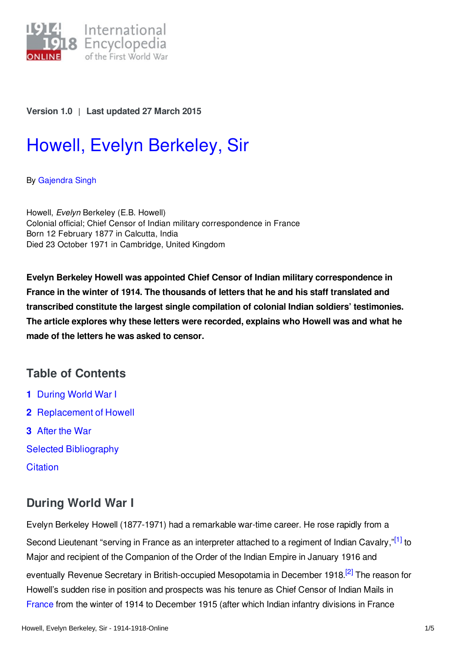

## **Version 1.0** | **Last updated 27 March 2015**

# Howell, Evelyn [Berkeley,](https://encyclopedia.1914-1918-online.net/article/howell_evelyn_berkeley_sir) Sir

By [Gajendra](https://encyclopedia.1914-1918-online.net/contributors/Gajendra_Singh) Singh

Howell, *Evelyn* Berkeley (E.B. Howell) Colonial official; Chief Censor of Indian military correspondence in France Born 12 February 1877 in Calcutta, India Died 23 October 1971 in Cambridge, United Kingdom

**Evelyn Berkeley Howell was appointed Chief Censor of Indian military correspondence in France in the winter of 1914. The thousands of letters that he and his staff translated and transcribed constitute the largest single compilation of colonial Indian soldiers' testimonies. The article explores why these letters were recorded, explains who Howell was and what he made of the letters he was asked to censor.**

# **Table of Contents**

- **1** [During](#page-0-0) World War I
- **2** [Replacement](#page-1-0) of Howell
- **3** [After](#page-2-0) the War
- Selected [Bibliography](#page-3-0)
- **[Citation](#page-3-1)**

# <span id="page-0-0"></span>**During World War I**

<span id="page-0-2"></span><span id="page-0-1"></span>Evelyn Berkeley Howell (1877-1971) had a remarkable war-time career. He rose rapidly from a Second Lieutenant "serving in France as an interpreter attached to a regiment of Indian Cavalry,"<sup>[\[1\]](#page-2-1)</sup> to Major and recipient of the Companion of the Order of the Indian Empire in January 1916 and eventually Revenue Secretary in British-occupied Mesopotamia in December 1918.<sup>[\[2\]](#page-2-2)</sup> The reason for Howell's sudden rise in position and prospects was his tenure as Chief Censor of Indian Mails in [France](https://encyclopedia.1914-1918-online.net/article/france) from the winter of 1914 to December 1915 (after which Indian infantry divisions in France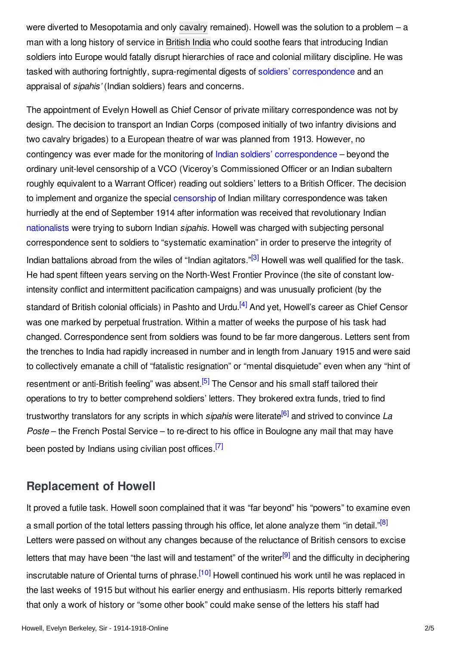were diverted to Mesopotamia and only [cavalry](https://encyclopedia.1914-1918-online.net/article/cavalry) remained). Howell was the solution to a problem – a man with a long history of service in [British](https://encyclopedia.1914-1918-online.net/article/british_india) India who could soothe fears that introducing Indian soldiers into Europe would fatally disrupt hierarchies of race and colonial military discipline. He was tasked with authoring fortnightly, supra-regimental digests of soldiers' [correspondence](https://encyclopedia.1914-1918-online.net/article/war_letters_communication_between_front_and_home_front) and an appraisal of *sipahis'* (Indian soldiers) fears and concerns.

<span id="page-1-1"></span>The appointment of Evelyn Howell as Chief Censor of private military correspondence was not by design. The decision to transport an Indian Corps (composed initially of two infantry divisions and two cavalry brigades) to a European theatre of war was planned from 1913. However, no contingency was ever made for the monitoring of Indian soldiers' [correspondence](https://encyclopedia.1914-1918-online.net/article/sepoy_letters_india) – beyond the ordinary unit-level censorship of a VCO (Viceroy's Commissioned Officer or an Indian subaltern roughly equivalent to a Warrant Officer) reading out soldiers' letters to a British Officer. The decision to implement and organize the special [censorship](https://encyclopedia.1914-1918-online.net/article/censorship) of Indian military correspondence was taken hurriedly at the end of September 1914 after information was received that revolutionary Indian [nationalists](https://encyclopedia.1914-1918-online.net/article/nationalism) were trying to suborn Indian *sipahis*. Howell was charged with subjecting personal correspondence sent to soldiers to "systematic examination" in order to preserve the integrity of Indian battalions abroad from the wiles of "Indian agitators."<sup>[\[3\]](#page-2-3)</sup> Howell was well qualified for the task. He had spent fifteen years serving on the North-West Frontier Province (the site of constant lowintensity conflict and intermittent pacification campaigns) and was unusually proficient (by the standard of British colonial officials) in Pashto and Urdu.<sup>[\[4\]](#page-2-4)</sup> And yet, Howell's career as Chief Censor was one marked by perpetual frustration. Within a matter of weeks the purpose of his task had changed. Correspondence sent from soldiers was found to be far more dangerous. Letters sent from the trenches to India had rapidly increased in number and in length from January 1915 and were said to collectively emanate a chill of "fatalistic resignation" or "mental disquietude" even when any "hint of resentment or anti-British feeling" was absent.<sup>[\[5\]](#page-3-2)</sup> The Censor and his small staff tailored their operations to try to better comprehend soldiers' letters. They brokered extra funds, tried to find trustworthy translators for any scripts in which *sipahis* were literate [\[6\]](#page-3-3) and strived to convince *La*

<span id="page-1-5"></span><span id="page-1-4"></span><span id="page-1-3"></span><span id="page-1-2"></span>*Poste* – the French Postal Service – to re-direct to his office in Boulogne any mail that may have been posted by Indians using civilian post offices.<sup>[\[7\]](#page-3-4)</sup>

## <span id="page-1-0"></span>**Replacement of Howell**

<span id="page-1-8"></span><span id="page-1-7"></span><span id="page-1-6"></span>It proved a futile task. Howell soon complained that it was "far beyond" his "powers" to examine even a small portion of the total letters passing through his office, let alone analyze them "in detail."<sup>[\[8\]](#page-3-5)</sup> Letters were passed on without any changes because of the reluctance of British censors to excise letters that may have been "the last will and testament" of the writer<sup>[\[9\]](#page-3-6)</sup> and the difficulty in deciphering inscrutable nature of Oriental turns of phrase.<sup>[\[10\]](#page-3-7)</sup> Howell continued his work until he was replaced in the last weeks of 1915 but without his earlier energy and enthusiasm. His reports bitterly remarked that only a work of history or "some other book" could make sense of the letters his staff had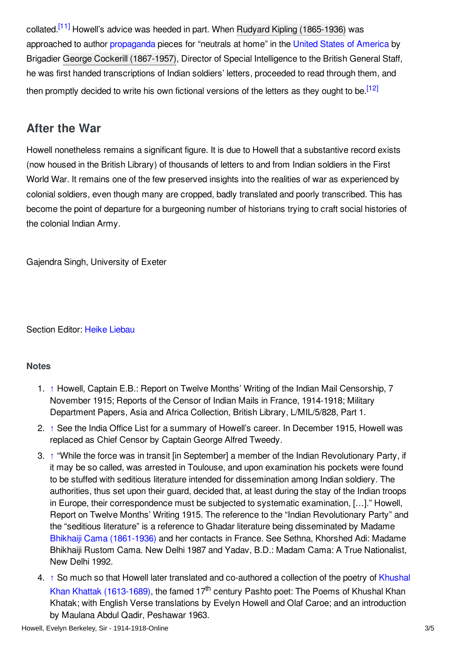<span id="page-2-5"></span>collated.<sup>[\[11\]](#page-3-8)</sup> Howell's advice was heeded in part. When Rudyard Kipling [\(1865-1936\)](https://encyclopedia.1914-1918-online.net/index/names/118562290) was approached to author [propaganda](https://encyclopedia.1914-1918-online.net/article/propaganda_at_home_and_abroad) pieces for "neutrals at home" in the United States of [America](https://encyclopedia.1914-1918-online.net/article/united_states_of_america) by Brigadier George Cockerill [\(1867-1957\)](https://encyclopedia.1914-1918-online.net/index/names/106671018X), Director of Special Intelligence to the British General Staff, he was first handed transcriptions of Indian soldiers' letters, proceeded to read through them, and then promptly decided to write his own fictional versions of the letters as they ought to be.<sup>[\[12\]](#page-3-9)</sup>

## <span id="page-2-6"></span><span id="page-2-0"></span>**After the War**

Howell nonetheless remains a significant figure. It is due to Howell that a substantive record exists (now housed in the British Library) of thousands of letters to and from Indian soldiers in the First World War. It remains one of the few preserved insights into the realities of war as experienced by colonial soldiers, even though many are cropped, badly translated and poorly transcribed. This has become the point of departure for a burgeoning number of historians trying to craft social histories of the colonial Indian Army.

Gajendra Singh, University of Exeter

Section Editor: Heike [Liebau](https://encyclopedia.1914-1918-online.net/contributors/Heike_Liebau)

## **Notes**

- <span id="page-2-1"></span>1. [↑](#page-0-1) Howell, Captain E.B.: Report on Twelve Months' Writing of the Indian Mail Censorship, 7 November 1915; Reports of the Censor of Indian Mails in France, 1914-1918; Military Department Papers, Asia and Africa Collection, British Library, L/MIL/5/828, Part 1.
- <span id="page-2-2"></span>2. [↑](#page-0-2) See the India Office List for a summary of Howell's career. In December 1915, Howell was replaced as Chief Censor by Captain George Alfred Tweedy.
- <span id="page-2-3"></span>3. [↑](#page-1-1) "While the force was in transit [in September] a member of the Indian Revolutionary Party, if it may be so called, was arrested in Toulouse, and upon examination his pockets were found to be stuffed with seditious literature intended for dissemination among Indian soldiery. The authorities, thus set upon their guard, decided that, at least during the stay of the Indian troops in Europe, their correspondence must be subjected to systematic examination, […]." Howell, Report on Twelve Months' Writing 1915. The reference to the "Indian Revolutionary Party" and the "seditious literature" is a reference to Ghadar literature being disseminated by Madame Bhikhaiji Cama [\(1861-1936\)](https://encyclopedia.1914-1918-online.net/index/names/129810045) and her contacts in France. See Sethna, Khorshed Adi: Madame Bhikhaiji Rustom Cama. New Delhi 1987 and Yadav, B.D.: Madam Cama: A True Nationalist, New Delhi 1992.
- <span id="page-2-4"></span>4. [↑](#page-1-2) So much so that Howell later translated and co-authored a collection of the poetry of Khushal Khan Khattak [\(1613-1689\),](https://encyclopedia.1914-1918-online.net/index/names/1033391042) the famed 17<sup>th</sup> century Pashto poet: The Poems of Khushal Khan Khatak; with English Verse translations by Evelyn Howell and Olaf Caroe; and an introduction by Maulana Abdul Qadir, Peshawar 1963.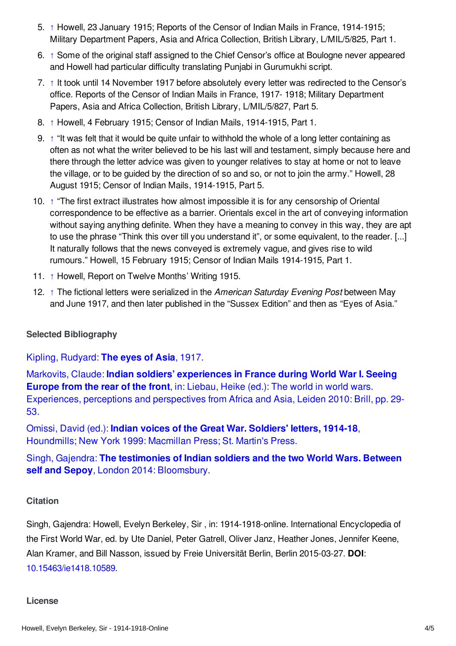- <span id="page-3-2"></span>5. [↑](#page-1-3) Howell, 23 January 1915; Reports of the Censor of Indian Mails in France, 1914-1915; Military Department Papers, Asia and Africa Collection, British Library, L/MIL/5/825, Part 1.
- <span id="page-3-3"></span>6. [↑](#page-1-4) Some of the original staff assigned to the Chief Censor's office at Boulogne never appeared and Howell had particular difficulty translating Punjabi in Gurumukhi script.
- <span id="page-3-4"></span>7. [↑](#page-1-5) It took until 14 November 1917 before absolutely every letter was redirected to the Censor's office. Reports of the Censor of Indian Mails in France, 1917- 1918; Military Department Papers, Asia and Africa Collection, British Library, L/MIL/5/827, Part 5.
- <span id="page-3-5"></span>8. [↑](#page-1-6) Howell, 4 February 1915; Censor of Indian Mails, 1914-1915, Part 1.
- <span id="page-3-6"></span>9. [↑](#page-1-7) "It was felt that it would be quite unfair to withhold the whole of a long letter containing as often as not what the writer believed to be his last will and testament, simply because here and there through the letter advice was given to younger relatives to stay at home or not to leave the village, or to be guided by the direction of so and so, or not to join the army." Howell, 28 August 1915; Censor of Indian Mails, 1914-1915, Part 5.
- <span id="page-3-7"></span>10. [↑](#page-1-8) "The first extract illustrates how almost impossible it is for any censorship of Oriental correspondence to be effective as a barrier. Orientals excel in the art of conveying information without saying anything definite. When they have a meaning to convey in this way, they are apt to use the phrase "Think this over till you understand it", or some equivalent, to the reader. [...] It naturally follows that the news conveyed is extremely vague, and gives rise to wild rumours." Howell, 15 February 1915; Censor of Indian Mails 1914-1915, Part 1.
- <span id="page-3-8"></span>11. [↑](#page-2-5) Howell, Report on Twelve Months' Writing 1915.
- <span id="page-3-9"></span>12. [↑](#page-2-6) The fictional letters were serialized in the *American Saturday Evening Post* between May and June 1917, and then later published in the "Sussex Edition" and then as "Eyes of Asia."

## <span id="page-3-0"></span>**Selected Bibliography**

Kipling, [Rudyard:](https://encyclopedia.1914-1918-online.net/bibliography/XREZHRBX) **The eyes of Asia**, 1917.

Markovits, Claude: **Indian soldiers' experiences in France during World War I. Seeing Europe from the rear of the front**, in: Liebau, Heike (ed.): The world in world wars. [Experiences,](https://encyclopedia.1914-1918-online.net/bibliography/XKJBMDZE) perceptions and perspectives from Africa and Asia, Leiden 2010: Brill, pp. 29- 53.

Omissi, David (ed.): **Indian voices of the Great War. Soldiers' letters, 1914-18**, [Houndmills;](https://encyclopedia.1914-1918-online.net/bibliography/3ZBFNJEG) New York 1999: Macmillan Press; St. Martin's Press.

Singh, Gajendra: **The testimonies of Indian soldiers and the two World Wars. Between self and Sepoy**, London 2014: [Bloomsbury.](https://encyclopedia.1914-1918-online.net/bibliography/ND4ZVQ93)

#### <span id="page-3-1"></span>**Citation**

Singh, Gajendra: Howell, Evelyn Berkeley, Sir , in: 1914-1918-online. International Encyclopedia of the First World War, ed. by Ute Daniel, Peter Gatrell, Oliver Janz, Heather Jones, Jennifer Keene, Alan Kramer, and Bill Nasson, issued by Freie Universität Berlin, Berlin 2015-03-27. **DOI**: [10.15463/ie1418.10589](http://dx.doi.org/10.15463/ie1418.10589).

#### **License**